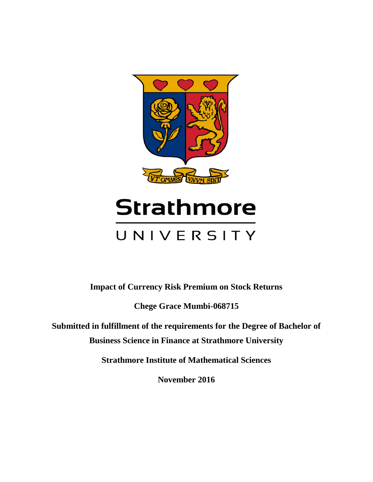

# **Strathmore** UNIVERSITY

**Impact of Currency Risk Premium on Stock Returns**

**Chege Grace Mumbi-068715**

**Submitted in fulfillment of the requirements for the Degree of Bachelor of Business Science in Finance at Strathmore University**

**Strathmore Institute of Mathematical Sciences**

**November 2016**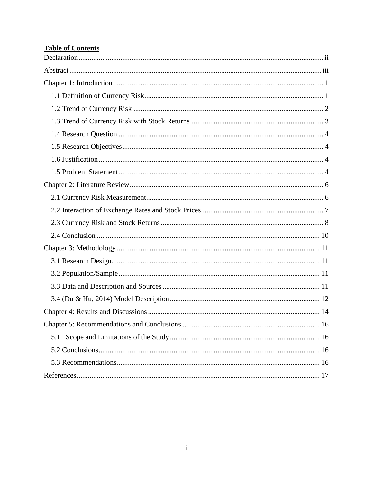# **Table of Contents**

<span id="page-1-0"></span>

| 5.1 |
|-----|
|     |
|     |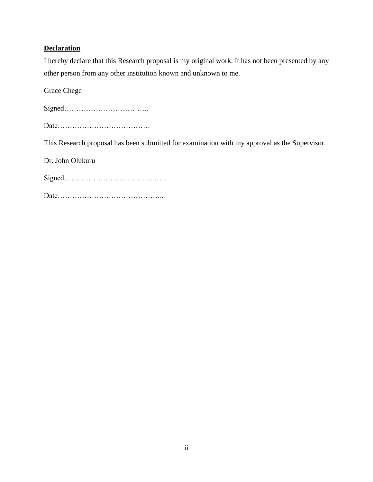# **Declaration**

I hereby declare that this Research proposal is my original work. It has not been presented by any other person from any other institution known and unknown to me.

Grace Chege

Signed…………………………….. Date……………………………….. This Research proposal has been submitted for examination with my approval as the Supervisor. Dr. John Olukuru Signed……………………………………

Date……………………………………..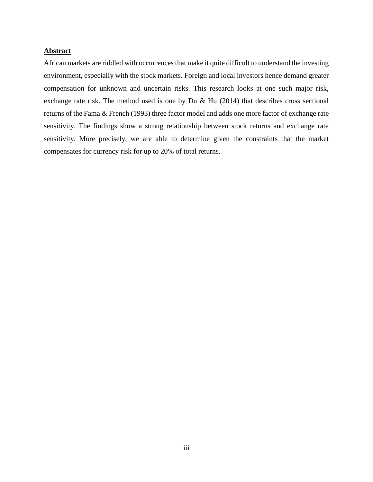# <span id="page-3-0"></span>**Abstract**

African markets are riddled with occurrences that make it quite difficult to understand the investing environment, especially with the stock markets. Foreign and local investors hence demand greater compensation for unknown and uncertain risks. This research looks at one such major risk, exchange rate risk. The method used is one by Du  $& Hu$  (2014) that describes cross sectional returns of the Fama & French (1993) three factor model and adds one more factor of exchange rate sensitivity. The findings show a strong relationship between stock returns and exchange rate sensitivity. More precisely, we are able to determine given the constraints that the market compensates for currency risk for up to 20% of total returns.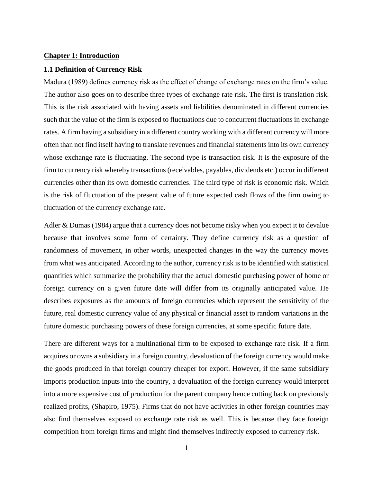#### <span id="page-4-0"></span>**Chapter 1: Introduction**

#### <span id="page-4-1"></span>**1.1 Definition of Currency Risk**

Madura (1989) defines currency risk as the effect of change of exchange rates on the firm's value. The author also goes on to describe three types of exchange rate risk. The first is translation risk. This is the risk associated with having assets and liabilities denominated in different currencies such that the value of the firm is exposed to fluctuations due to concurrent fluctuations in exchange rates. A firm having a subsidiary in a different country working with a different currency will more often than not find itself having to translate revenues and financial statements into its own currency whose exchange rate is fluctuating. The second type is transaction risk. It is the exposure of the firm to currency risk whereby transactions (receivables, payables, dividends etc.) occur in different currencies other than its own domestic currencies. The third type of risk is economic risk. Which is the risk of fluctuation of the present value of future expected cash flows of the firm owing to fluctuation of the currency exchange rate.

Adler & Dumas (1984) argue that a currency does not become risky when you expect it to devalue because that involves some form of certainty. They define currency risk as a question of randomness of movement, in other words, unexpected changes in the way the currency moves from what was anticipated. According to the author, currency risk is to be identified with statistical quantities which summarize the probability that the actual domestic purchasing power of home or foreign currency on a given future date will differ from its originally anticipated value. He describes exposures as the amounts of foreign currencies which represent the sensitivity of the future, real domestic currency value of any physical or financial asset to random variations in the future domestic purchasing powers of these foreign currencies, at some specific future date.

There are different ways for a multinational firm to be exposed to exchange rate risk. If a firm acquires or owns a subsidiary in a foreign country, devaluation of the foreign currency would make the goods produced in that foreign country cheaper for export. However, if the same subsidiary imports production inputs into the country, a devaluation of the foreign currency would interpret into a more expensive cost of production for the parent company hence cutting back on previously realized profits, (Shapiro, 1975). Firms that do not have activities in other foreign countries may also find themselves exposed to exchange rate risk as well. This is because they face foreign competition from foreign firms and might find themselves indirectly exposed to currency risk.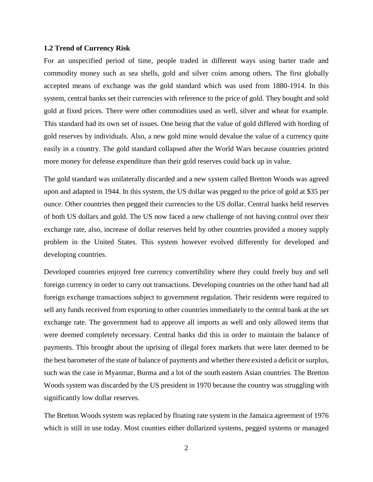#### <span id="page-5-0"></span>**1.2 Trend of Currency Risk**

For an unspecified period of time, people traded in different ways using barter trade and commodity money such as sea shells, gold and silver coins among others. The first globally accepted means of exchange was the gold standard which was used from 1880-1914. In this system, central banks set their currencies with reference to the price of gold. They bought and sold gold at fixed prices. There were other commodities used as well, silver and wheat for example. This standard had its own set of issues. One being that the value of gold differed with hording of gold reserves by individuals. Also, a new gold mine would devalue the value of a currency quite easily in a country. The gold standard collapsed after the World Wars because countries printed more money for defense expenditure than their gold reserves could back up in value.

The gold standard was unilaterally discarded and a new system called Bretton Woods was agreed upon and adapted in 1944. In this system, the US dollar was pegged to the price of gold at \$35 per ounce. Other countries then pegged their currencies to the US dollar. Central banks held reserves of both US dollars and gold. The US now faced a new challenge of not having control over their exchange rate, also, increase of dollar reserves held by other countries provided a money supply problem in the United States. This system however evolved differently for developed and developing countries.

Developed countries enjoyed free currency convertibility where they could freely buy and sell foreign currency in order to carry out transactions. Developing countries on the other hand had all foreign exchange transactions subject to government regulation. Their residents were required to sell any funds received from exporting to other countries immediately to the central bank at the set exchange rate. The government had to approve all imports as well and only allowed items that were deemed completely necessary. Central banks did this in order to maintain the balance of payments. This brought about the uprising of illegal forex markets that were later deemed to be the best barometer of the state of balance of payments and whether there existed a deficit or surplus, such was the case in Myanmar, Burma and a lot of the south eastern Asian countries. The Bretton Woods system was discarded by the US president in 1970 because the country was struggling with significantly low dollar reserves.

The Bretton Woods system was replaced by floating rate system in the Jamaica agreement of 1976 which is still in use today. Most counties either dollarized systems, pegged systems or managed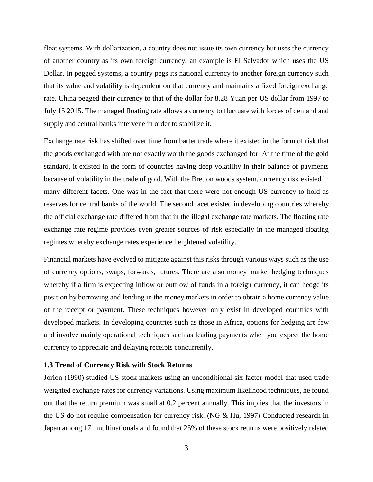float systems. With dollarization, a country does not issue its own currency but uses the currency of another country as its own foreign currency, an example is El Salvador which uses the US Dollar. In pegged systems, a country pegs its national currency to another foreign currency such that its value and volatility is dependent on that currency and maintains a fixed foreign exchange rate. China pegged their currency to that of the dollar for 8.28 Yuan per US dollar from 1997 to July 15 2015. The managed floating rate allows a currency to fluctuate with forces of demand and supply and central banks intervene in order to stabilize it.

Exchange rate risk has shifted over time from barter trade where it existed in the form of risk that the goods exchanged with are not exactly worth the goods exchanged for. At the time of the gold standard, it existed in the form of countries having deep volatility in their balance of payments because of volatility in the trade of gold. With the Bretton woods system, currency risk existed in many different facets. One was in the fact that there were not enough US currency to hold as reserves for central banks of the world. The second facet existed in developing countries whereby the official exchange rate differed from that in the illegal exchange rate markets. The floating rate exchange rate regime provides even greater sources of risk especially in the managed floating regimes whereby exchange rates experience heightened volatility.

Financial markets have evolved to mitigate against this risks through various ways such as the use of currency options, swaps, forwards, futures. There are also money market hedging techniques whereby if a firm is expecting inflow or outflow of funds in a foreign currency, it can hedge its position by borrowing and lending in the money markets in order to obtain a home currency value of the receipt or payment. These techniques however only exist in developed countries with developed markets. In developing countries such as those in Africa, options for hedging are few and involve mainly operational techniques such as leading payments when you expect the home currency to appreciate and delaying receipts concurrently.

#### <span id="page-6-0"></span>**1.3 Trend of Currency Risk with Stock Returns**

Jorion (1990) studied US stock markets using an unconditional six factor model that used trade weighted exchange rates for currency variations. Using maximum likelihood techniques, he found out that the return premium was small at 0.2 percent annually. This implies that the investors in the US do not require compensation for currency risk. (NG & Hu, 1997) Conducted research in Japan among 171 multinationals and found that 25% of these stock returns were positively related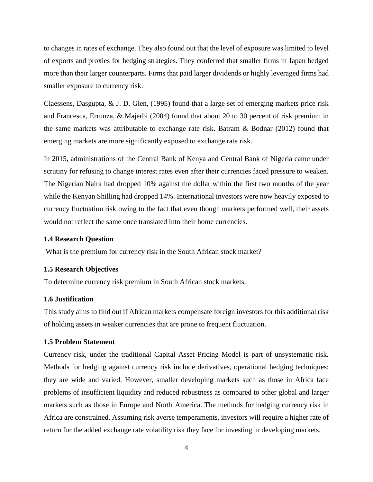to changes in rates of exchange. They also found out that the level of exposure was limited to level of exports and proxies for hedging strategies. They conferred that smaller firms in Japan hedged more than their larger counterparts. Firms that paid larger dividends or highly leveraged firms had smaller exposure to currency risk.

Claessens, Dasgupta, & J. D. Glen, (1995) found that a large set of emerging markets price risk and Francesca, Errunza, & Majerbi (2004) found that about 20 to 30 percent of risk premium in the same markets was attributable to exchange rate risk. Batram & Bodnar (2012) found that emerging markets are more significantly exposed to exchange rate risk.

In 2015, administrations of the Central Bank of Kenya and Central Bank of Nigeria came under scrutiny for refusing to change interest rates even after their currencies faced pressure to weaken. The Nigerian Naira had dropped 10% against the dollar within the first two months of the year while the Kenyan Shilling had dropped 14%. International investors were now heavily exposed to currency fluctuation risk owing to the fact that even though markets performed well, their assets would not reflect the same once translated into their home currencies.

## <span id="page-7-0"></span>**1.4 Research Question**

What is the premium for currency risk in the South African stock market?

#### <span id="page-7-1"></span>**1.5 Research Objectives**

To determine currency risk premium in South African stock markets.

#### <span id="page-7-2"></span>**1.6 Justification**

This study aims to find out if African markets compensate foreign investors for this additional risk of holding assets in weaker currencies that are prone to frequent fluctuation.

## <span id="page-7-3"></span>**1.5 Problem Statement**

Currency risk, under the traditional Capital Asset Pricing Model is part of unsystematic risk. Methods for hedging against currency risk include derivatives, operational hedging techniques; they are wide and varied. However, smaller developing markets such as those in Africa face problems of insufficient liquidity and reduced robustness as compared to other global and larger markets such as those in Europe and North America. The methods for hedging currency risk in Africa are constrained. Assuming risk averse temperaments, investors will require a higher rate of return for the added exchange rate volatility risk they face for investing in developing markets.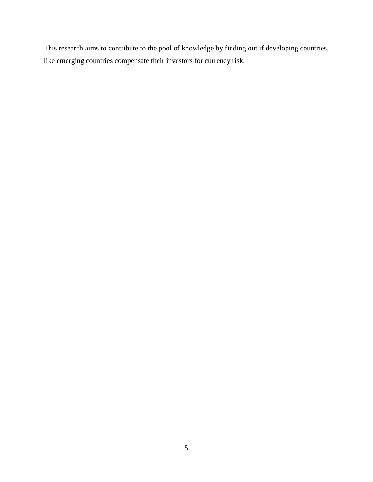This research aims to contribute to the pool of knowledge by finding out if developing countries, like emerging countries compensate their investors for currency risk.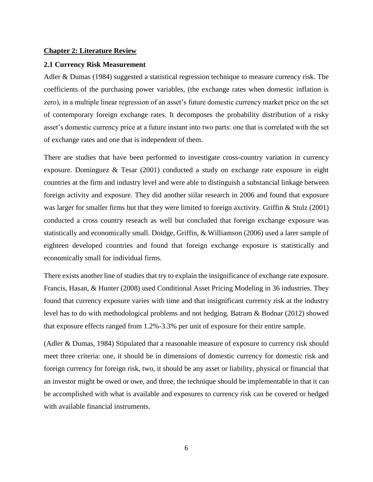## <span id="page-9-0"></span>**Chapter 2: Literature Review**

#### <span id="page-9-1"></span>**2.1 Currency Risk Measurement**

Adler & Dumas (1984) suggested a statistical regression technique to measure currency risk. The coefficients of the purchasing power variables, (the exchange rates when domestic inflation is zero), in a multiple linear regression of an asset's future domestic currency market price on the set of contemporary foreign exchange rates. It decomposes the probability distribution of a risky asset's domestic currency price at a future instant into two parts: one that is correlated with the set of exchange rates and one that is independent of them.

There are studies that have been performed to investigate cross-country variation in currency exposure. Dominguez & Tesar (2001) conducted a study on exchange rate exposure in eight countries at the firm and industry level and were able to distinguish a substancial linkage between foreign activity and exposure. They did another siilar research in 2006 and found that exposure was larger for smaller firms but that they were limited to foreign axctivity. Griffin & Stulz (2001) conducted a cross country reseach as well but concluded that foreign exchange exposure was statistically and economically small. Doidge, Griffin, & Williamson (2006) used a larer sample of eighteen developed countries and found that foreign exchange exposure is statistically and economically small for individual firms.

There exists another line of studies that try to explain the insignificance of exchange rate exposure. Francis, Hasan, & Hunter (2008) used Conditional Asset Pricing Modeling in 36 industries. They found that currency exposure varies with time and that insignificant currency risk at the industry level has to do with methodological problems and not hedging. Batram & Bodnar (2012) showed that exposure effects ranged from 1.2%-3.3% per unit of exposure for their entire sample.

(Adler & Dumas, 1984) Stipulated that a reasonable measure of exposure to currency risk should meet three criteria: one, it should be in dimensions of domestic currency for domestic risk and foreign currency for foreign risk, two, it should be any asset or liability, physical or financial that an investor might be owed or owe, and three, the technique should be implementable in that it can be accomplished with what is available and exposures to currency risk can be covered or hedged with available financial instruments.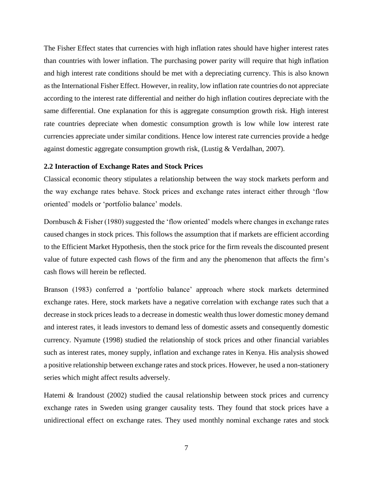The Fisher Effect states that currencies with high inflation rates should have higher interest rates than countries with lower inflation. The purchasing power parity will require that high inflation and high interest rate conditions should be met with a depreciating currency. This is also known as the International Fisher Effect. However, in reality, low inflation rate countries do not appreciate according to the interest rate differential and neither do high inflation coutires depreciate with the same differential. One explanation for this is aggregate consumption growth risk. High interest rate countries depreciate when domestic consumption growth is low while low interest rate currencies appreciate under similar conditions. Hence low interest rate currencies provide a hedge against domestic aggregate consumption growth risk, (Lustig & Verdalhan, 2007).

#### <span id="page-10-0"></span>**2.2 Interaction of Exchange Rates and Stock Prices**

Classical economic theory stipulates a relationship between the way stock markets perform and the way exchange rates behave. Stock prices and exchange rates interact either through 'flow oriented' models or 'portfolio balance' models.

Dornbusch & Fisher (1980) suggested the 'flow oriented' models where changes in exchange rates caused changes in stock prices. This follows the assumption that if markets are efficient according to the Efficient Market Hypothesis, then the stock price for the firm reveals the discounted present value of future expected cash flows of the firm and any the phenomenon that affects the firm's cash flows will herein be reflected.

Branson (1983) conferred a 'portfolio balance' approach where stock markets determined exchange rates. Here, stock markets have a negative correlation with exchange rates such that a decrease in stock prices leads to a decrease in domestic wealth thus lower domestic money demand and interest rates, it leads investors to demand less of domestic assets and consequently domestic currency. Nyamute (1998) studied the relationship of stock prices and other financial variables such as interest rates, money supply, inflation and exchange rates in Kenya. His analysis showed a positive relationship between exchange rates and stock prices. However, he used a non-stationery series which might affect results adversely.

Hatemi & Irandoust (2002) studied the causal relationship between stock prices and currency exchange rates in Sweden using granger causality tests. They found that stock prices have a unidirectional effect on exchange rates. They used monthly nominal exchange rates and stock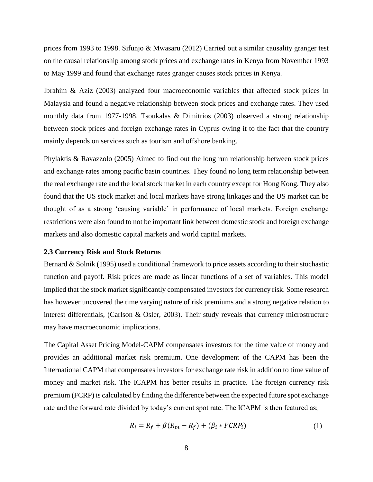prices from 1993 to 1998. Sifunjo & Mwasaru (2012) Carried out a similar causality granger test on the causal relationship among stock prices and exchange rates in Kenya from November 1993 to May 1999 and found that exchange rates granger causes stock prices in Kenya.

Ibrahim & Aziz (2003) analyzed four macroeconomic variables that affected stock prices in Malaysia and found a negative relationship between stock prices and exchange rates. They used monthly data from 1977-1998. Tsoukalas & Dimitrios (2003) observed a strong relationship between stock prices and foreign exchange rates in Cyprus owing it to the fact that the country mainly depends on services such as tourism and offshore banking.

Phylaktis & Ravazzolo (2005) Aimed to find out the long run relationship between stock prices and exchange rates among pacific basin countries. They found no long term relationship between the real exchange rate and the local stock market in each country except for Hong Kong. They also found that the US stock market and local markets have strong linkages and the US market can be thought of as a strong 'causing variable' in performance of local markets. Foreign exchange restrictions were also found to not be important link between domestic stock and foreign exchange markets and also domestic capital markets and world capital markets.

#### <span id="page-11-0"></span>**2.3 Currency Risk and Stock Returns**

Bernard & Solnik (1995) used a conditional framework to price assets according to their stochastic function and payoff. Risk prices are made as linear functions of a set of variables. This model implied that the stock market significantly compensated investors for currency risk. Some research has however uncovered the time varying nature of risk premiums and a strong negative relation to interest differentials, (Carlson & Osler, 2003). Their study reveals that currency microstructure may have macroeconomic implications.

The Capital Asset Pricing Model-CAPM compensates investors for the time value of money and provides an additional market risk premium. One development of the CAPM has been the International CAPM that compensates investors for exchange rate risk in addition to time value of money and market risk. The ICAPM has better results in practice. The foreign currency risk premium (FCRP) is calculated by finding the difference between the expected future spot exchange rate and the forward rate divided by today's current spot rate. The ICAPM is then featured as;

$$
R_i = R_f + \beta (R_m - R_f) + (\beta_i * FCRP_i)
$$
\n<sup>(1)</sup>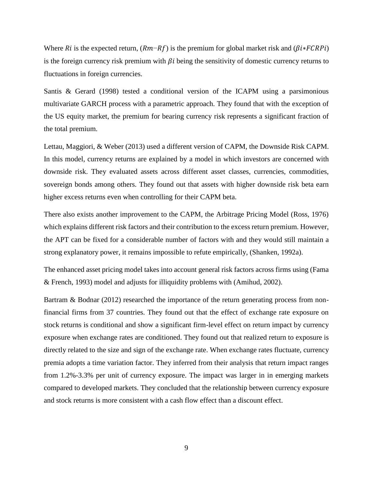Where Ri is the expected return,  $(Rm-Rf)$  is the premium for global market risk and  $(\beta i * FCRPi)$ is the foreign currency risk premium with  $\beta i$  being the sensitivity of domestic currency returns to fluctuations in foreign currencies.

Santis & Gerard (1998) tested a conditional version of the ICAPM using a parsimonious multivariate GARCH process with a parametric approach. They found that with the exception of the US equity market, the premium for bearing currency risk represents a significant fraction of the total premium.

Lettau, Maggiori, & Weber (2013) used a different version of CAPM, the Downside Risk CAPM. In this model, currency returns are explained by a model in which investors are concerned with downside risk. They evaluated assets across different asset classes, currencies, commodities, sovereign bonds among others. They found out that assets with higher downside risk beta earn higher excess returns even when controlling for their CAPM beta.

There also exists another improvement to the CAPM, the Arbitrage Pricing Model (Ross, 1976) which explains different risk factors and their contribution to the excess return premium. However, the APT can be fixed for a considerable number of factors with and they would still maintain a strong explanatory power, it remains impossible to refute empirically, (Shanken, 1992a).

The enhanced asset pricing model takes into account general risk factors across firms using (Fama & French, 1993) model and adjusts for illiquidity problems with (Amihud, 2002).

Bartram & Bodnar (2012) researched the importance of the return generating process from nonfinancial firms from 37 countries. They found out that the effect of exchange rate exposure on stock returns is conditional and show a significant firm-level effect on return impact by currency exposure when exchange rates are conditioned. They found out that realized return to exposure is directly related to the size and sign of the exchange rate. When exchange rates fluctuate, currency premia adopts a time variation factor. They inferred from their analysis that return impact ranges from 1.2%-3.3% per unit of currency exposure. The impact was larger in in emerging markets compared to developed markets. They concluded that the relationship between currency exposure and stock returns is more consistent with a cash flow effect than a discount effect.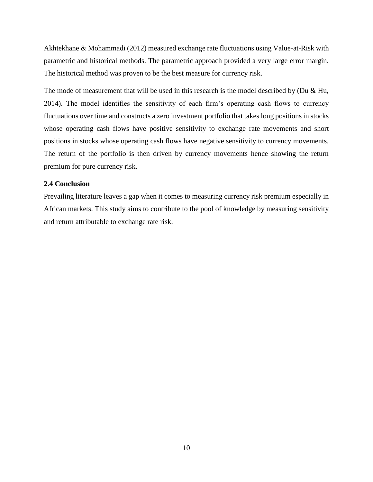Akhtekhane & Mohammadi (2012) measured exchange rate fluctuations using Value-at-Risk with parametric and historical methods. The parametric approach provided a very large error margin. The historical method was proven to be the best measure for currency risk.

The mode of measurement that will be used in this research is the model described by (Du  $&$  Hu, 2014). The model identifies the sensitivity of each firm's operating cash flows to currency fluctuations over time and constructs a zero investment portfolio that takes long positions in stocks whose operating cash flows have positive sensitivity to exchange rate movements and short positions in stocks whose operating cash flows have negative sensitivity to currency movements. The return of the portfolio is then driven by currency movements hence showing the return premium for pure currency risk.

## <span id="page-13-0"></span>**2.4 Conclusion**

Prevailing literature leaves a gap when it comes to measuring currency risk premium especially in African markets. This study aims to contribute to the pool of knowledge by measuring sensitivity and return attributable to exchange rate risk.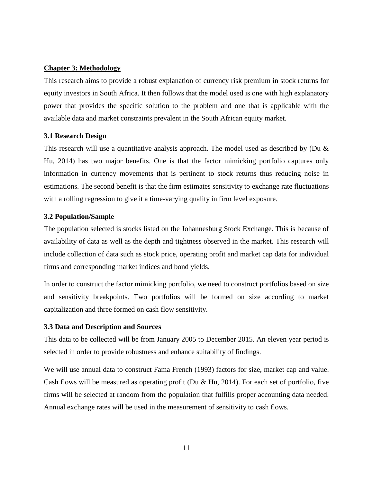## <span id="page-14-0"></span>**Chapter 3: Methodology**

This research aims to provide a robust explanation of currency risk premium in stock returns for equity investors in South Africa. It then follows that the model used is one with high explanatory power that provides the specific solution to the problem and one that is applicable with the available data and market constraints prevalent in the South African equity market.

# <span id="page-14-1"></span>**3.1 Research Design**

This research will use a quantitative analysis approach. The model used as described by (Du & Hu, 2014) has two major benefits. One is that the factor mimicking portfolio captures only information in currency movements that is pertinent to stock returns thus reducing noise in estimations. The second benefit is that the firm estimates sensitivity to exchange rate fluctuations with a rolling regression to give it a time-varying quality in firm level exposure.

## <span id="page-14-2"></span>**3.2 Population/Sample**

The population selected is stocks listed on the Johannesburg Stock Exchange. This is because of availability of data as well as the depth and tightness observed in the market. This research will include collection of data such as stock price, operating profit and market cap data for individual firms and corresponding market indices and bond yields.

In order to construct the factor mimicking portfolio, we need to construct portfolios based on size and sensitivity breakpoints. Two portfolios will be formed on size according to market capitalization and three formed on cash flow sensitivity.

# <span id="page-14-3"></span>**3.3 Data and Description and Sources**

This data to be collected will be from January 2005 to December 2015. An eleven year period is selected in order to provide robustness and enhance suitability of findings.

We will use annual data to construct Fama French (1993) factors for size, market cap and value. Cash flows will be measured as operating profit (Du & Hu, 2014). For each set of portfolio, five firms will be selected at random from the population that fulfills proper accounting data needed. Annual exchange rates will be used in the measurement of sensitivity to cash flows.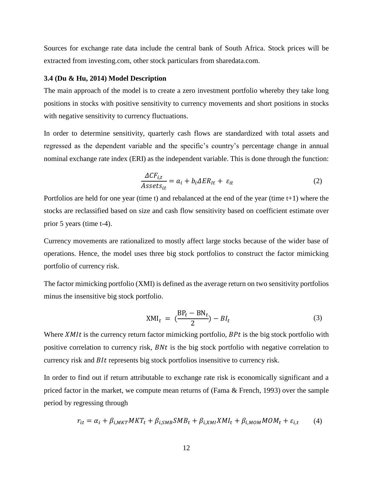Sources for exchange rate data include the central bank of South Africa. Stock prices will be extracted from investing.com, other stock particulars from sharedata.com.

#### <span id="page-15-0"></span>**3.4 (Du & Hu, 2014) Model Description**

The main approach of the model is to create a zero investment portfolio whereby they take long positions in stocks with positive sensitivity to currency movements and short positions in stocks with negative sensitivity to currency fluctuations.

In order to determine sensitivity, quarterly cash flows are standardized with total assets and regressed as the dependent variable and the specific's country's percentage change in annual nominal exchange rate index (ERI) as the independent variable. This is done through the function:

$$
\frac{\Delta CF_{i,t}}{Assets_{it}} = a_i + b_i \Delta ER_{lt} + \varepsilon_{it}
$$
\n(2)

Portfolios are held for one year (time t) and rebalanced at the end of the year (time t+1) where the stocks are reclassified based on size and cash flow sensitivity based on coefficient estimate over prior 5 years (time t-4).

Currency movements are rationalized to mostly affect large stocks because of the wider base of operations. Hence, the model uses three big stock portfolios to construct the factor mimicking portfolio of currency risk.

The factor mimicking portfolio (XMI) is defined as the average return on two sensitivity portfolios minus the insensitive big stock portfolio.

$$
XML_t = \left(\frac{BP_t - BN_t}{2}\right) - BI_t \tag{3}
$$

Where  $xMIt$  is the currency return factor mimicking portfolio,  $BPt$  is the big stock portfolio with positive correlation to currency risk,  $Bnt$  is the big stock portfolio with negative correlation to currency risk and *BIt* represents big stock portfolios insensitive to currency risk.

In order to find out if return attributable to exchange rate risk is economically significant and a priced factor in the market, we compute mean returns of (Fama & French, 1993) over the sample period by regressing through

$$
r_{it} = \alpha_i + \beta_{i,MKT} MKT_t + \beta_{i,SMB} SMB_t + \beta_{i,XMI} XML_t + \beta_{i,MOM} MOM_t + \varepsilon_{i,t}
$$
 (4)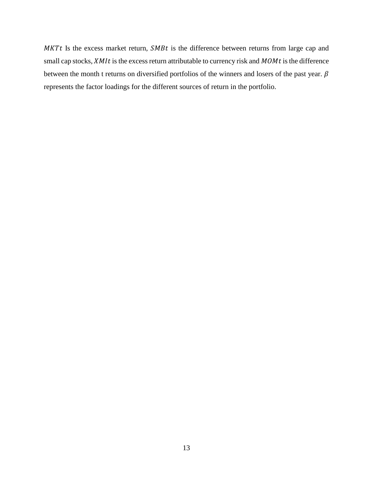$MKT$  Is the excess market return,  $SMBt$  is the difference between returns from large cap and small cap stocks,  $xMIt$  is the excess return attributable to currency risk and  $MOMt$  is the difference between the month t returns on diversified portfolios of the winners and losers of the past year.  $\beta$ represents the factor loadings for the different sources of return in the portfolio.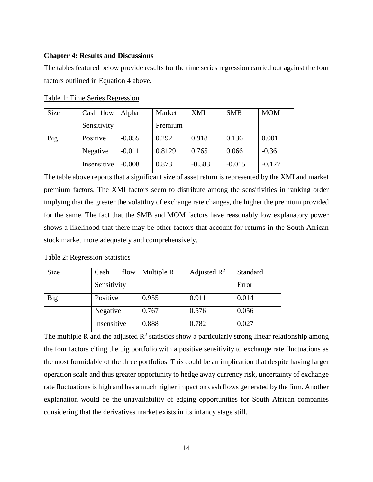## <span id="page-17-0"></span>**Chapter 4: Results and Discussions**

The tables featured below provide results for the time series regression carried out against the four factors outlined in Equation 4 above.

| Table 1: Time Series Regression |
|---------------------------------|
|---------------------------------|

| <b>Size</b> | Cash flow   | Alpha    | Market  | <b>XMI</b> | <b>SMB</b> | <b>MOM</b> |
|-------------|-------------|----------|---------|------------|------------|------------|
|             | Sensitivity |          | Premium |            |            |            |
| <b>Big</b>  | Positive    | $-0.055$ | 0.292   | 0.918      | 0.136      | 0.001      |
|             | Negative    | $-0.011$ | 0.8129  | 0.765      | 0.066      | $-0.36$    |
|             | Insensitive | $-0.008$ | 0.873   | $-0.583$   | $-0.015$   | $-0.127$   |

The table above reports that a significant size of asset return is represented by the XMI and market premium factors. The XMI factors seem to distribute among the sensitivities in ranking order implying that the greater the volatility of exchange rate changes, the higher the premium provided for the same. The fact that the SMB and MOM factors have reasonably low explanatory power shows a likelihood that there may be other factors that account for returns in the South African stock market more adequately and comprehensively.

Table 2: Regression Statistics

| <b>Size</b> | Cash<br>flow | Multiple R | Adjusted $\mathbb{R}^2$ | Standard |
|-------------|--------------|------------|-------------------------|----------|
|             | Sensitivity  |            |                         | Error    |
| <b>Big</b>  | Positive     | 0.955      | 0.911                   | 0.014    |
|             | Negative     | 0.767      | 0.576                   | 0.056    |
|             | Insensitive  | 0.888      | 0.782                   | 0.027    |

The multiple R and the adjusted  $R^2$  statistics show a particularly strong linear relationship among the four factors citing the big portfolio with a positive sensitivity to exchange rate fluctuations as the most formidable of the three portfolios. This could be an implication that despite having larger operation scale and thus greater opportunity to hedge away currency risk, uncertainty of exchange rate fluctuations is high and has a much higher impact on cash flows generated by the firm. Another explanation would be the unavailability of edging opportunities for South African companies considering that the derivatives market exists in its infancy stage still.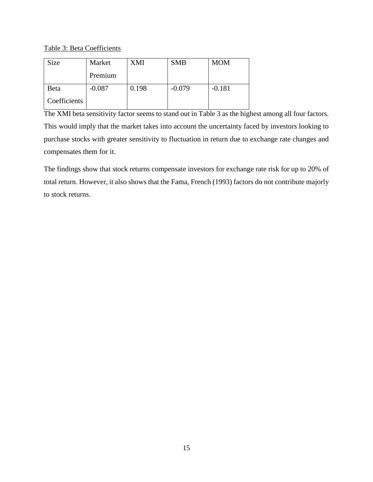Table 3: Beta Coefficients

| <b>Size</b>  | Market   | XMI   | <b>SMB</b> | <b>MOM</b> |
|--------------|----------|-------|------------|------------|
|              | Premium  |       |            |            |
| Beta         | $-0.087$ | 0.198 | $-0.079$   | $-0.181$   |
| Coefficients |          |       |            |            |

The XMI beta sensitivity factor seems to stand out in Table 3 as the highest among all four factors. This would imply that the market takes into account the uncertainty faced by investors looking to purchase stocks with greater sensitivity to fluctuation in return due to exchange rate changes and compensates them for it.

The findings show that stock returns compensate investors for exchange rate risk for up to 20% of total return. However, it also shows that the Fama, French (1993) factors do not contribute majorly to stock returns.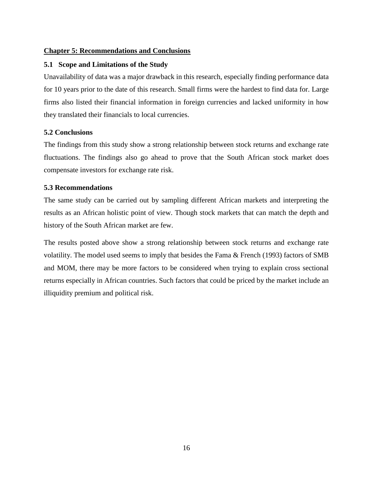# <span id="page-19-0"></span>**Chapter 5: Recommendations and Conclusions**

# <span id="page-19-1"></span>**5.1 Scope and Limitations of the Study**

Unavailability of data was a major drawback in this research, especially finding performance data for 10 years prior to the date of this research. Small firms were the hardest to find data for. Large firms also listed their financial information in foreign currencies and lacked uniformity in how they translated their financials to local currencies.

# <span id="page-19-2"></span>**5.2 Conclusions**

The findings from this study show a strong relationship between stock returns and exchange rate fluctuations. The findings also go ahead to prove that the South African stock market does compensate investors for exchange rate risk.

## <span id="page-19-3"></span>**5.3 Recommendations**

The same study can be carried out by sampling different African markets and interpreting the results as an African holistic point of view. Though stock markets that can match the depth and history of the South African market are few.

The results posted above show a strong relationship between stock returns and exchange rate volatility. The model used seems to imply that besides the Fama & French (1993) factors of SMB and MOM, there may be more factors to be considered when trying to explain cross sectional returns especially in African countries. Such factors that could be priced by the market include an illiquidity premium and political risk.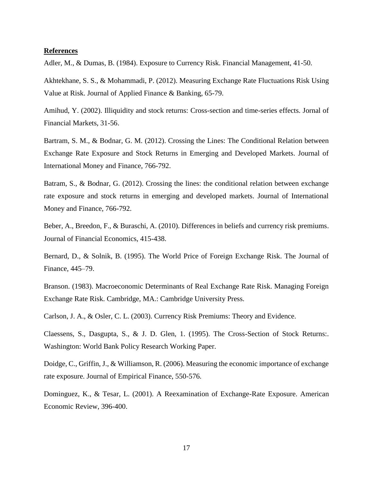#### <span id="page-20-0"></span>**References**

Adler, M., & Dumas, B. (1984). Exposure to Currency Risk. Financial Management, 41-50.

Akhtekhane, S. S., & Mohammadi, P. (2012). Measuring Exchange Rate Fluctuations Risk Using Value at Risk. Journal of Applied Finance & Banking, 65-79.

Amihud, Y. (2002). Illiquidity and stock returns: Cross-section and time-series effects. Jornal of Financial Markets, 31-56.

Bartram, S. M., & Bodnar, G. M. (2012). Crossing the Lines: The Conditional Relation between Exchange Rate Exposure and Stock Returns in Emerging and Developed Markets. Journal of International Money and Finance, 766-792.

Batram, S., & Bodnar, G. (2012). Crossing the lines: the conditional relation between exchange rate exposure and stock returns in emerging and developed markets. Journal of International Money and Finance, 766-792.

Beber, A., Breedon, F., & Buraschi, A. (2010). Differences in beliefs and currency risk premiums. Journal of Financial Economics, 415-438.

Bernard, D., & Solnik, B. (1995). The World Price of Foreign Exchange Risk. The Journal of Finance, 445–79.

Branson. (1983). Macroeconomic Determinants of Real Exchange Rate Risk. Managing Foreign Exchange Rate Risk. Cambridge, MA.: Cambridge University Press.

Carlson, J. A., & Osler, C. L. (2003). Currency Risk Premiums: Theory and Evidence.

Claessens, S., Dasgupta, S., & J. D. Glen, 1. (1995). The Cross-Section of Stock Returns:. Washington: World Bank Policy Research Working Paper.

Doidge, C., Griffin, J., & Williamson, R. (2006). Measuring the economic importance of exchange rate exposure. Journal of Empirical Finance, 550-576.

Dominguez, K., & Tesar, L. (2001). A Reexamination of Exchange-Rate Exposure. American Economic Review, 396-400.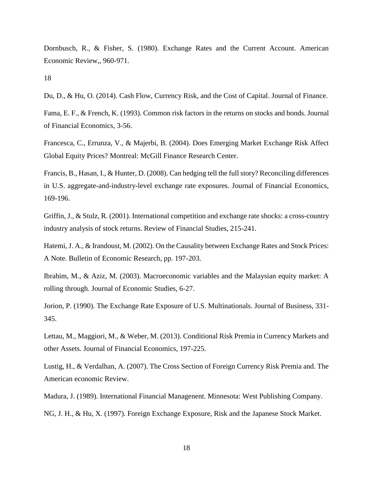Dornbusch, R., & Fisher, S. (1980). Exchange Rates and the Current Account. American Economic Review,, 960-971.

18

Du, D., & Hu, O. (2014). Cash Flow, Currency Risk, and the Cost of Capital. Journal of Finance.

Fama, E. F., & French, K. (1993). Common risk factors in the returns on stocks and bonds. Journal of Financial Economics, 3-56.

Francesca, C., Errunza, V., & Majerbi, B. (2004). Does Emerging Market Exchange Risk Affect Global Equity Prices? Montreal: McGill Finance Research Center.

Francis, B., Hasan, I., & Hunter, D. (2008). Can hedging tell the full story? Reconciling differences in U.S. aggregate-and-industry-level exchange rate exposures. Journal of Financial Economics, 169-196.

Griffin, J., & Stulz, R. (2001). International competition and exchange rate shocks: a cross-country industry analysis of stock returns. Review of Financial Studies, 215-241.

Hatemi, J. A., & Irandoust, M. (2002). On the Causality between Exchange Rates and Stock Prices: A Note. Bulletin of Economic Research, pp. 197-203.

Ibrahim, M., & Aziz, M. (2003). Macroeconomic variables and the Malaysian equity market: A rolling through. Journal of Economic Studies, 6-27.

Jorion, P. (1990). The Exchange Rate Exposure of U.S. Multinationals. Journal of Business, 331- 345.

Lettau, M., Maggiori, M., & Weber, M. (2013). Conditional Risk Premia in Currency Markets and other Assets. Journal of Financial Economics, 197-225.

Lustig, H., & Verdalhan, A. (2007). The Cross Section of Foreign Currency Risk Premia and. The American economic Review.

Madura, J. (1989). International Financial Managenent. Minnesota: West Publishing Company.

NG, J. H., & Hu, X. (1997). Foreign Exchange Exposure, Risk and the Japanese Stock Market.